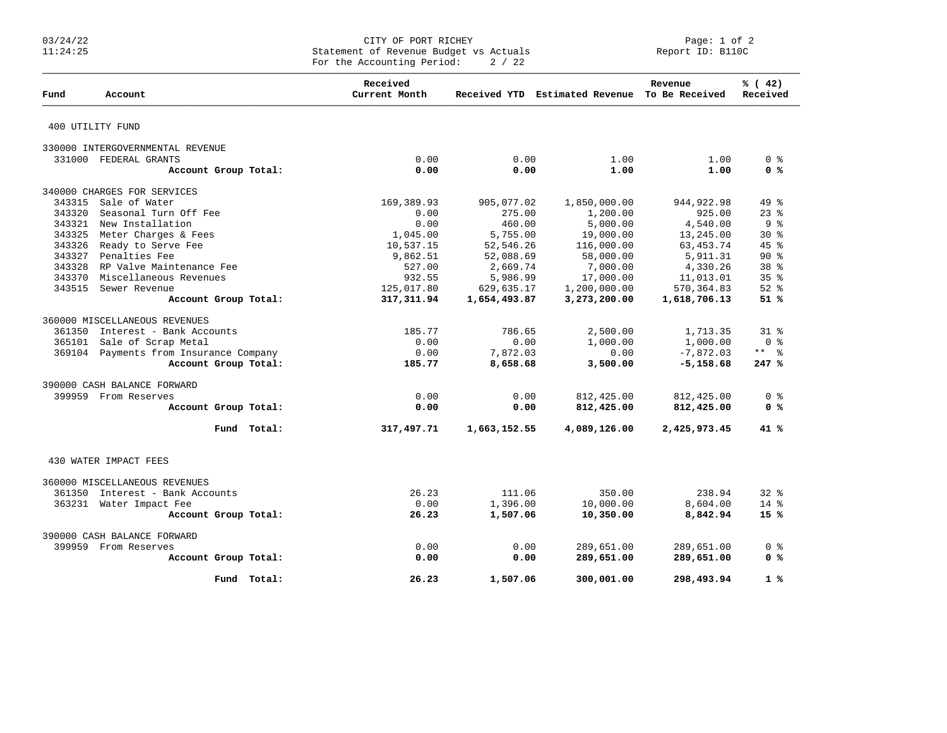## 03/24/22 CITY OF PORT RICHEY Page: 1 of 2 11:24:25 Statement of Revenue Budget vs Actuals Report ID: B110C For the Accounting Period:  $2 / 22$

| Fund   | Account                                | Received<br>Current Month |              | Received YTD Estimated Revenue To Be Received | Revenue      | % (42)<br>Received  |
|--------|----------------------------------------|---------------------------|--------------|-----------------------------------------------|--------------|---------------------|
|        | 400 UTILITY FUND                       |                           |              |                                               |              |                     |
|        | 330000 INTERGOVERNMENTAL REVENUE       |                           |              |                                               |              |                     |
|        | 331000 FEDERAL GRANTS                  | 0.00                      | 0.00         | 1.00                                          | 1.00         | 0 <sup>8</sup>      |
|        | Account Group Total:                   | 0.00                      | 0.00         | 1.00                                          | 1.00         | 0 <sup>8</sup>      |
|        | 340000 CHARGES FOR SERVICES            |                           |              |                                               |              |                     |
| 343315 | Sale of Water                          | 169,389.93                | 905,077.02   | 1,850,000.00                                  | 944, 922. 98 | 49 %                |
| 343320 | Seasonal Turn Off Fee                  | 0.00                      | 275.00       | 1,200.00                                      | 925.00       | $23$ $%$            |
|        | 343321 New Installation                | 0.00                      | 460.00       | 5,000.00                                      | 4,540.00     | 9 <sub>8</sub>      |
| 343325 | Meter Charges & Fees                   | 1,045.00                  | 5,755.00     | 19,000.00                                     | 13,245.00    | $30*$               |
|        | 343326 Ready to Serve Fee              | 10,537.15                 | 52,546.26    | 116,000.00                                    | 63, 453. 74  | $45$ %              |
|        | 343327 Penalties Fee                   | 9,862.51                  | 52,088.69    | 58,000.00                                     | 5,911.31     | $90*$               |
|        | 343328 RP Valve Maintenance Fee        | 527.00                    | 2,669.74     | 7,000.00                                      | 4,330.26     | 38 %                |
|        | 343370 Miscellaneous Revenues          | 932.55                    | 5,986.99     | 17,000.00                                     | 11,013.01    | 35 <sup>8</sup>     |
|        | 343515 Sewer Revenue                   | 125,017.80                | 629,635.17   | 1,200,000.00                                  | 570,364.83   | $52$ $%$            |
|        | Account Group Total:                   | 317,311.94                | 1,654,493.87 | 3,273,200.00                                  | 1,618,706.13 | 51%                 |
|        | 360000 MISCELLANEOUS REVENUES          |                           |              |                                               |              |                     |
| 361350 | Interest - Bank Accounts               | 185.77                    | 786.65       | 2,500.00                                      | 1,713.35     | $31*$               |
| 365101 | Sale of Scrap Metal                    | 0.00                      | 0.00         | 1,000.00                                      | 1,000.00     | 0 <sup>8</sup>      |
|        | 369104 Payments from Insurance Company | 0.00                      | 7,872.03     | 0.00                                          | $-7,872.03$  | $***$ $\frac{6}{5}$ |
|        | Account Group Total:                   | 185.77                    | 8,658.68     | 3,500.00                                      | $-5,158.68$  | 247%                |
|        | 390000 CASH BALANCE FORWARD            |                           |              |                                               |              |                     |
|        | 399959 From Reserves                   | 0.00                      | 0.00         | 812,425.00                                    | 812,425.00   | 0 <sup>8</sup>      |
|        | Account Group Total:                   | 0.00                      | 0.00         | 812,425.00                                    | 812,425.00   | 0 <sup>8</sup>      |
|        | Fund Total:                            | 317,497.71                | 1,663,152.55 | 4,089,126.00                                  | 2,425,973.45 | 41 %                |
|        | 430 WATER IMPACT FEES                  |                           |              |                                               |              |                     |
|        | 360000 MISCELLANEOUS REVENUES          |                           |              |                                               |              |                     |
|        | 361350 Interest - Bank Accounts        | 26.23                     | 111.06       | 350.00                                        | 238.94       | 328                 |
|        | 363231 Water Impact Fee                | 0.00                      | 1,396.00     | 10,000.00                                     | 8,604.00     | $14*$               |
|        | Account Group Total:                   | 26.23                     | 1,507.06     | 10,350.00                                     | 8,842.94     | $15*$               |
|        | 390000 CASH BALANCE FORWARD            |                           |              |                                               |              |                     |
|        | 399959 From Reserves                   | 0.00                      | 0.00         | 289,651.00                                    | 289,651.00   | 0 <sub>8</sub>      |
|        | Account Group Total:                   | 0.00                      | 0.00         | 289,651.00                                    | 289,651.00   | 0 <sup>8</sup>      |
|        |                                        |                           |              |                                               |              |                     |
|        | Fund Total:                            | 26.23                     | 1,507.06     | 300,001.00                                    | 298,493.94   | 1%                  |